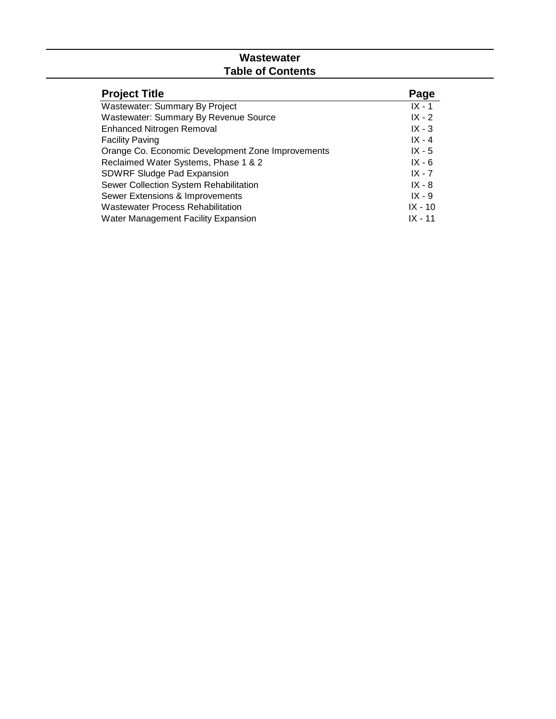# **Wastewater Table of Contents**

| <b>Project Title</b>                              | Page      |
|---------------------------------------------------|-----------|
| Wastewater: Summary By Project                    | $IX - 1$  |
| <b>Wastewater: Summary By Revenue Source</b>      | $IX - 2$  |
| <b>Enhanced Nitrogen Removal</b>                  | $IX - 3$  |
| <b>Facility Paving</b>                            | $IX - 4$  |
| Orange Co. Economic Development Zone Improvements | $IX - 5$  |
| Reclaimed Water Systems, Phase 1 & 2              | $IX - 6$  |
| <b>SDWRF Sludge Pad Expansion</b>                 | $IX - 7$  |
| Sewer Collection System Rehabilitation            | $IX - 8$  |
| Sewer Extensions & Improvements                   | $IX - 9$  |
| <b>Wastewater Process Rehabilitation</b>          | $IX - 10$ |
| Water Management Facility Expansion               | $IX - 11$ |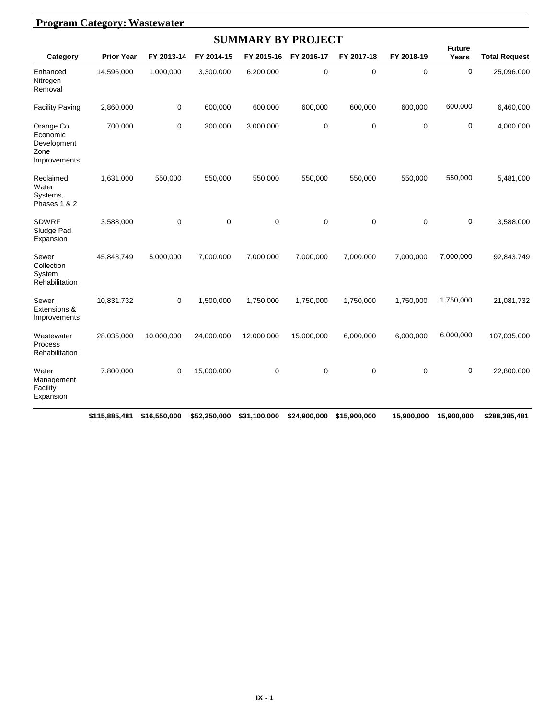|                                                               |                                   |             |             | <b>SUMMARY BY PROJECT</b> |            |                            |             |                                                 |                      |
|---------------------------------------------------------------|-----------------------------------|-------------|-------------|---------------------------|------------|----------------------------|-------------|-------------------------------------------------|----------------------|
| Category                                                      | <b>Prior Year</b>                 | FY 2013-14  | FY 2014-15  | FY 2015-16                | FY 2016-17 | FY 2017-18                 | FY 2018-19  | <b>Future</b><br>Years                          | <b>Total Request</b> |
| Enhanced<br>Nitrogen<br>Removal                               | 14,596,000                        | 1,000,000   | 3,300,000   | 6,200,000                 | $\pmb{0}$  | 0                          | $\mathbf 0$ | $\mathbf 0$                                     | 25,096,000           |
| <b>Facility Paving</b>                                        | 2,860,000                         | 0           | 600,000     | 600,000                   | 600,000    | 600,000                    | 600,000     | 600,000                                         | 6,460,000            |
| Orange Co.<br>Economic<br>Development<br>Zone<br>Improvements | 700,000                           | $\mathbf 0$ | 300,000     | 3,000,000                 | 0          | $\mathbf 0$                | $\mathbf 0$ | 0                                               | 4,000,000            |
| Reclaimed<br>Water<br>Systems,<br>Phases 1 & 2                | 1,631,000                         | 550,000     | 550,000     | 550,000                   | 550,000    | 550,000                    | 550,000     | 550,000                                         | 5,481,000            |
| <b>SDWRF</b><br>Sludge Pad<br>Expansion                       | 3,588,000                         | 0           | $\mathbf 0$ | $\mathbf 0$               | 0          | 0                          | $\mathbf 0$ | 0                                               | 3,588,000            |
| Sewer<br>Collection<br>System<br>Rehabilitation               | 45,843,749                        | 5,000,000   | 7,000,000   | 7,000,000                 | 7,000,000  | 7,000,000                  | 7,000,000   | 7,000,000                                       | 92,843,749           |
| Sewer<br>Extensions &<br>Improvements                         | 10,831,732                        | 0           | 1,500,000   | 1,750,000                 | 1,750,000  | 1,750,000                  | 1,750,000   | 1,750,000                                       | 21,081,732           |
| Wastewater<br>Process<br>Rehabilitation                       | 28,035,000                        | 10,000,000  | 24,000,000  | 12,000,000                | 15,000,000 | 6,000,000                  | 6,000,000   | 6,000,000                                       | 107,035,000          |
| Water<br>Management<br>Facility<br>Expansion                  | 7,800,000                         | $\mathbf 0$ | 15,000,000  | 0                         | 0          | 0                          | $\mathbf 0$ | 0                                               | 22,800,000           |
|                                                               | <b>CAAF OOF ADAL CAC FED OOD.</b> |             |             |                           |            | $0.401000000$ $0.45000000$ |             | $\overline{AB}$ 000.000 $\overline{AB}$ 000.000 | 0.0000000000404      |

**\$115,885,481 \$16,550,000 \$52,250,000 \$31,100,000 \$24,900,000 \$15,900,000 \$15,900,000 \$15,900,000 \$288,385,481**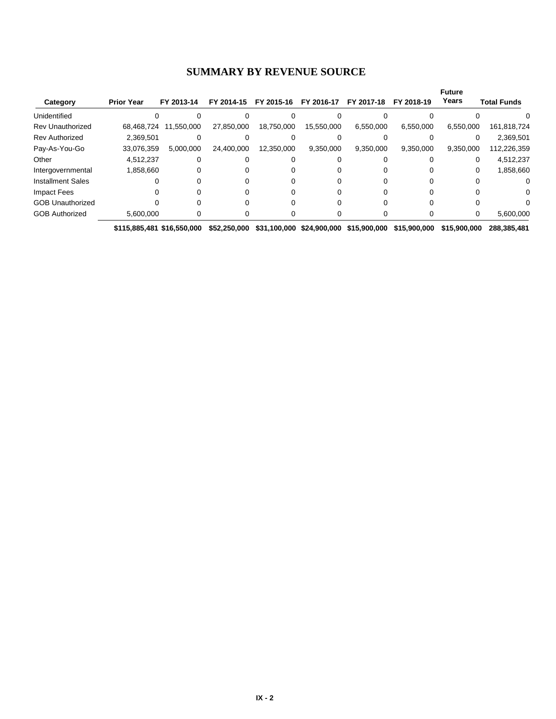#### **SUMMARY BY REVENUE SOURCE**

|                          |                   |            |            |            |            |            |            | <b>Future</b> |                    |
|--------------------------|-------------------|------------|------------|------------|------------|------------|------------|---------------|--------------------|
| Category                 | <b>Prior Year</b> | FY 2013-14 | FY 2014-15 | FY 2015-16 | FY 2016-17 | FY 2017-18 | FY 2018-19 | Years         | <b>Total Funds</b> |
| Unidentified             |                   |            |            |            |            |            |            |               |                    |
| <b>Rev Unauthorized</b>  | 68.468.724        | 11,550,000 | 27,850,000 | 18,750,000 | 15,550,000 | 6,550,000  | 6,550,000  | 6,550,000     | 161,818,724        |
| <b>Rev Authorized</b>    | 2,369,501         |            |            |            |            |            |            |               | 2,369,501          |
| Pay-As-You-Go            | 33,076,359        | 5,000,000  | 24.400.000 | 12,350,000 | 9,350,000  | 9,350,000  | 9,350,000  | 9,350,000     | 112,226,359        |
| Other                    | 4,512,237         |            |            |            |            |            |            |               | 4,512,237          |
| Intergovernmental        | 1,858,660         |            |            |            |            |            |            |               | 1,858,660          |
| <b>Installment Sales</b> |                   |            |            |            |            |            |            |               |                    |
| Impact Fees              |                   |            |            |            |            |            |            |               |                    |
| <b>GOB Unauthorized</b>  |                   |            |            |            |            |            |            |               |                    |
| <b>GOB Authorized</b>    | 5,600,000         |            |            |            |            |            |            |               | 5,600,000          |

**\$115,885,481 \$16,550,000 \$52,250,000 \$31,100,000 \$24,900,000 \$15,900,000 \$15,900,000 \$15,900,000 \$288,385,481**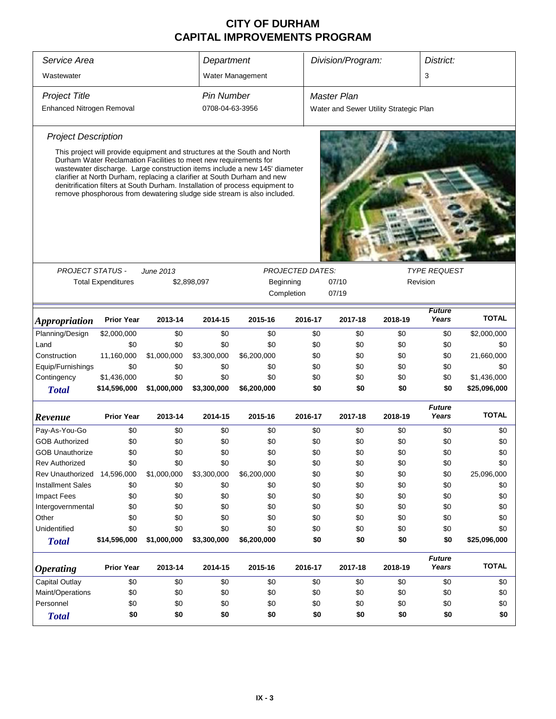| Service Area                |                                                                  |             | Department        |                                                                                                                                                                                                                                                                                                                                                                                                 |                         |         | Division/Program:                      |         | District:              |              |  |
|-----------------------------|------------------------------------------------------------------|-------------|-------------------|-------------------------------------------------------------------------------------------------------------------------------------------------------------------------------------------------------------------------------------------------------------------------------------------------------------------------------------------------------------------------------------------------|-------------------------|---------|----------------------------------------|---------|------------------------|--------------|--|
| Wastewater                  |                                                                  |             |                   | Water Management                                                                                                                                                                                                                                                                                                                                                                                |                         |         |                                        |         | 3                      |              |  |
| <b>Project Title</b>        |                                                                  |             | <b>Pin Number</b> |                                                                                                                                                                                                                                                                                                                                                                                                 |                         |         | Master Plan                            |         |                        |              |  |
| Enhanced Nitrogen Removal   |                                                                  |             | 0708-04-63-3956   |                                                                                                                                                                                                                                                                                                                                                                                                 |                         |         | Water and Sewer Utility Strategic Plan |         |                        |              |  |
| <b>Project Description</b>  |                                                                  |             |                   |                                                                                                                                                                                                                                                                                                                                                                                                 |                         |         |                                        |         |                        |              |  |
|                             |                                                                  |             |                   |                                                                                                                                                                                                                                                                                                                                                                                                 |                         |         |                                        |         |                        |              |  |
|                             | Durham Water Reclamation Facilities to meet new requirements for |             |                   | This project will provide equipment and structures at the South and North<br>wastewater discharge. Large construction items include a new 145' diameter<br>clarifier at North Durham, replacing a clarifier at South Durham and new<br>denitrification filters at South Durham. Installation of process equipment to<br>remove phosphorous from dewatering sludge side stream is also included. |                         |         |                                        |         |                        |              |  |
|                             |                                                                  |             |                   |                                                                                                                                                                                                                                                                                                                                                                                                 |                         |         |                                        |         |                        |              |  |
| <b>PROJECT STATUS -</b>     |                                                                  | June 2013   |                   |                                                                                                                                                                                                                                                                                                                                                                                                 | <b>PROJECTED DATES:</b> |         |                                        |         | <b>TYPE REQUEST</b>    |              |  |
|                             | <b>Total Expenditures</b>                                        |             | \$2,898,097       | Beginning<br>07/10<br>Revision                                                                                                                                                                                                                                                                                                                                                                  |                         |         |                                        |         |                        |              |  |
|                             |                                                                  |             |                   |                                                                                                                                                                                                                                                                                                                                                                                                 | Completion              |         | 07/19                                  |         |                        |              |  |
| <i><b>Appropriation</b></i> | <b>Prior Year</b>                                                | 2013-14     | 2014-15           | 2015-16                                                                                                                                                                                                                                                                                                                                                                                         |                         | 2016-17 | 2017-18                                | 2018-19 | <b>Future</b><br>Years | <b>TOTAL</b> |  |
| Planning/Design             | \$2,000,000                                                      | \$0         | \$0               | \$0                                                                                                                                                                                                                                                                                                                                                                                             |                         | \$0     | \$0                                    | \$0     | \$0                    | \$2,000,000  |  |
| Land                        | \$0                                                              | \$0         | \$0               | \$0                                                                                                                                                                                                                                                                                                                                                                                             |                         | \$0     | \$0                                    | \$0     | \$0                    | \$0          |  |
| Construction                | 11,160,000                                                       | \$1,000,000 | \$3,300,000       | \$6,200,000                                                                                                                                                                                                                                                                                                                                                                                     |                         | \$0     | \$0                                    | \$0     | \$0                    | 21,660,000   |  |
| Equip/Furnishings           | \$0                                                              | \$0         | \$0               | \$0                                                                                                                                                                                                                                                                                                                                                                                             |                         | \$0     | \$0                                    | \$0     | \$0                    | \$0          |  |
| Contingency                 | \$1,436,000                                                      | \$0         | \$0               | \$0                                                                                                                                                                                                                                                                                                                                                                                             |                         | \$0     | \$0                                    | \$0     | \$0                    | \$1,436,000  |  |
| <b>Total</b>                | \$14,596,000                                                     | \$1,000,000 | \$3,300,000       | \$6,200,000                                                                                                                                                                                                                                                                                                                                                                                     |                         | \$0     | \$0                                    | \$0     | \$0                    | \$25,096,000 |  |
| Revenue                     | <b>Prior Year</b>                                                | 2013-14     | 2014-15           | 2015-16                                                                                                                                                                                                                                                                                                                                                                                         |                         | 2016-17 | 2017-18                                | 2018-19 | <b>Future</b><br>Years | <b>TOTAL</b> |  |
| Pay-As-You-Go               | \$0                                                              | \$0         | \$0               | \$0                                                                                                                                                                                                                                                                                                                                                                                             |                         | \$0     | \$0                                    | \$0     | \$0                    | \$0          |  |
| <b>GOB Authorized</b>       | \$0                                                              | \$0         | \$0               | \$0                                                                                                                                                                                                                                                                                                                                                                                             |                         | \$0     | \$0                                    | \$0     | \$0                    | \$0          |  |
| <b>GOB Unauthorize</b>      | \$0                                                              | \$0         | \$0               | \$0                                                                                                                                                                                                                                                                                                                                                                                             |                         | \$0     | \$0                                    | \$0     | \$0                    | \$0          |  |
| <b>Rev Authorized</b>       | \$0                                                              | \$0         | \$0               | \$0                                                                                                                                                                                                                                                                                                                                                                                             |                         | \$0     | \$0                                    | \$0     | \$0                    | \$0          |  |
| Rev Unauthorized            | 14,596,000                                                       | \$1,000,000 | \$3,300,000       | \$6,200,000                                                                                                                                                                                                                                                                                                                                                                                     |                         | \$0     | \$0                                    | \$0     | \$0                    | 25,096,000   |  |
| <b>Installment Sales</b>    | \$0                                                              | \$0         | \$0               | \$0                                                                                                                                                                                                                                                                                                                                                                                             |                         | \$0     | \$0                                    | \$0     | \$0                    | \$0          |  |
| <b>Impact Fees</b>          | \$0                                                              | \$0         | \$0               | \$0                                                                                                                                                                                                                                                                                                                                                                                             |                         | \$0     | \$0                                    | \$0     | \$0                    | \$0          |  |
| Intergovernmental           | \$0                                                              | \$0         | \$0               | \$0                                                                                                                                                                                                                                                                                                                                                                                             |                         | \$0     | \$0                                    | \$0     | \$0                    | \$0          |  |
| Other                       | \$0                                                              | \$0         | \$0               | \$0                                                                                                                                                                                                                                                                                                                                                                                             |                         | \$0     | \$0                                    | \$0     | \$0                    | \$0          |  |
| Unidentified                | \$0                                                              | \$0         | \$0               | \$0                                                                                                                                                                                                                                                                                                                                                                                             |                         | \$0     | \$0                                    | \$0     | \$0                    | \$0          |  |
| <b>Total</b>                | \$14,596,000                                                     | \$1,000,000 | \$3,300,000       | \$6,200,000                                                                                                                                                                                                                                                                                                                                                                                     |                         | \$0     | \$0                                    | \$0     | \$0                    | \$25,096,000 |  |
| <i><b>Operating</b></i>     | <b>Prior Year</b>                                                | 2013-14     | 2014-15           | 2015-16                                                                                                                                                                                                                                                                                                                                                                                         |                         | 2016-17 | 2017-18                                | 2018-19 | <b>Future</b><br>Years | <b>TOTAL</b> |  |
| <b>Capital Outlay</b>       | \$0                                                              | \$0         | \$0               | \$0                                                                                                                                                                                                                                                                                                                                                                                             |                         | \$0     | \$0                                    | \$0     | \$0                    | \$0          |  |
| Maint/Operations            | \$0                                                              | \$0         | \$0               | \$0                                                                                                                                                                                                                                                                                                                                                                                             |                         | \$0     | \$0                                    | \$0     | \$0                    | \$0          |  |
| Personnel                   | \$0                                                              | \$0         | \$0               | \$0                                                                                                                                                                                                                                                                                                                                                                                             |                         | \$0     | \$0                                    | \$0     | \$0                    | \$0          |  |
| <b>Total</b>                | \$0                                                              | \$0         | \$0               | \$0                                                                                                                                                                                                                                                                                                                                                                                             |                         | \$0     | \$0                                    | \$0     | \$0                    | \$0          |  |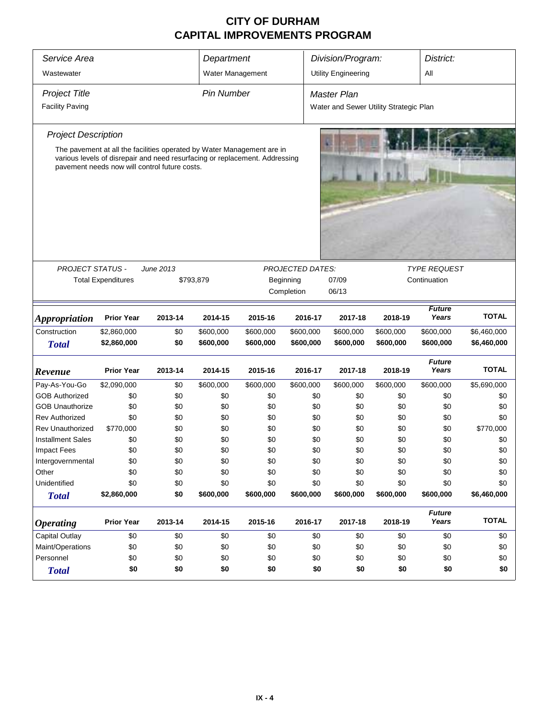| Service Area                         |                   |                                                                             | Department            |            |                         | Division/Program:                      |            | District:              |              |
|--------------------------------------|-------------------|-----------------------------------------------------------------------------|-----------------------|------------|-------------------------|----------------------------------------|------------|------------------------|--------------|
| Wastewater                           |                   |                                                                             | Water Management      |            |                         | <b>Utility Engineering</b>             |            | All                    |              |
| <b>Project Title</b>                 |                   |                                                                             | <b>Pin Number</b>     |            |                         | <b>Master Plan</b>                     |            |                        |              |
|                                      |                   |                                                                             |                       |            |                         |                                        |            |                        |              |
| <b>Facility Paving</b>               |                   |                                                                             |                       |            |                         | Water and Sewer Utility Strategic Plan |            |                        |              |
| <b>Project Description</b>           |                   |                                                                             |                       |            |                         |                                        |            |                        |              |
|                                      |                   | The pavement at all the facilities operated by Water Management are in      |                       |            |                         |                                        |            |                        |              |
|                                      |                   | various levels of disrepair and need resurfacing or replacement. Addressing |                       |            |                         |                                        |            |                        |              |
|                                      |                   | pavement needs now will control future costs.                               |                       |            |                         |                                        |            |                        |              |
|                                      |                   |                                                                             |                       |            |                         |                                        |            |                        |              |
|                                      |                   |                                                                             |                       |            |                         |                                        |            |                        |              |
|                                      |                   |                                                                             |                       |            |                         |                                        |            |                        |              |
|                                      |                   |                                                                             |                       |            |                         |                                        |            |                        |              |
|                                      |                   |                                                                             |                       |            |                         |                                        |            |                        |              |
|                                      |                   |                                                                             |                       |            |                         |                                        |            |                        |              |
|                                      |                   |                                                                             |                       |            |                         |                                        |            |                        |              |
| <b>PROJECT STATUS -</b>              |                   | June 2013                                                                   |                       |            | <b>PROJECTED DATES:</b> |                                        |            | <b>TYPE REQUEST</b>    |              |
| <b>Total Expenditures</b>            |                   | Beginning                                                                   | 07/09<br>Continuation |            |                         |                                        |            |                        |              |
|                                      | \$793,879         |                                                                             | Completion            | 06/13      |                         |                                        |            |                        |              |
|                                      |                   |                                                                             |                       |            |                         |                                        |            |                        |              |
|                                      | <b>Prior Year</b> | 2013-14                                                                     | 2014-15               | 2015-16    | 2016-17                 | 2017-18                                | 2018-19    | <b>Future</b><br>Years | <b>TOTAL</b> |
| <b>Appropriation</b><br>Construction | \$2,860,000       | \$0                                                                         | \$600,000             | \$600,000  | \$600,000               | \$600,000                              | \$600,000  | \$600,000              | \$6,460,000  |
| <b>Total</b>                         | \$2,860,000       | \$0                                                                         | \$600,000             | \$600,000  | \$600,000               | \$600,000                              | \$600,000  | \$600,000              | \$6,460,000  |
|                                      |                   |                                                                             |                       |            |                         |                                        |            |                        |              |
|                                      |                   |                                                                             |                       |            |                         |                                        |            | <b>Future</b>          | <b>TOTAL</b> |
| Revenue                              | <b>Prior Year</b> | 2013-14                                                                     | 2014-15               | 2015-16    | 2016-17                 | 2017-18                                | 2018-19    | Years                  |              |
| Pay-As-You-Go                        | \$2,090,000       | \$0                                                                         | \$600,000             | \$600,000  | \$600,000               | \$600,000                              | \$600,000  | \$600,000              | \$5,690,000  |
| <b>GOB Authorized</b>                | \$0               | \$0                                                                         | \$0                   | \$0        | \$0                     | \$0                                    | \$0        | \$0                    | \$0          |
| <b>GOB Unauthorize</b>               | \$0               | \$0                                                                         | \$0                   | \$0        | \$0                     | \$0                                    | \$0        | \$0                    | \$0          |
| <b>Rev Authorized</b>                | \$0               | \$0                                                                         | \$0                   | \$0        | \$0                     | \$0                                    | \$0        | \$0                    | \$0          |
| <b>Rev Unauthorized</b>              | \$770,000         | \$0                                                                         | \$0                   | \$0        | \$0                     | \$0                                    | \$0        | \$0                    | \$770,000    |
| <b>Installment Sales</b>             | \$0               | \$0                                                                         | \$0                   | \$0        | \$0                     | \$0                                    | \$0        | \$0                    | \$0          |
| Impact Fees                          | \$0               | \$0                                                                         | \$0                   | \$0        | \$0                     | \$0                                    | \$0        | \$0                    | \$0          |
| Intergovernmental                    | \$0               | \$0                                                                         | \$0                   | \$0        | \$0                     | \$0                                    | \$0        | \$0                    | \$0          |
| Other<br>Unidentified                | \$0<br>\$0        | \$0<br>\$0                                                                  | \$0<br>\$0            | \$0<br>\$0 | \$0<br>\$0              | \$0<br>\$0                             | \$0<br>\$0 | \$0<br>\$0             | \$0<br>\$0   |
|                                      | \$2,860,000       | \$0                                                                         | \$600,000             | \$600,000  | \$600,000               | \$600,000                              | \$600,000  | \$600,000              | \$6,460,000  |
| <b>Total</b>                         |                   |                                                                             |                       |            |                         |                                        |            |                        |              |
|                                      |                   |                                                                             |                       |            |                         |                                        |            | <b>Future</b>          |              |
| <b>Operating</b>                     | <b>Prior Year</b> | 2013-14                                                                     | 2014-15               | 2015-16    | 2016-17                 | 2017-18                                | 2018-19    | Years                  | <b>TOTAL</b> |
| Capital Outlay                       | \$0               | \$0                                                                         | \$0                   | \$0        | \$0                     | \$0                                    | \$0        | \$0                    | \$0          |
| Maint/Operations                     | \$0               | \$0                                                                         | \$0                   | \$0        | \$0                     | \$0                                    | \$0        | \$0                    | \$0          |
| Personnel                            | \$0               | \$0<br>\$0<br>\$0<br>\$0<br>\$0<br>\$0<br>\$0                               |                       |            |                         |                                        |            | \$0                    |              |
| <b>Total</b>                         | \$0               | \$0                                                                         | \$0                   | \$0        | \$0                     | \$0                                    | \$0        | \$0                    | \$0          |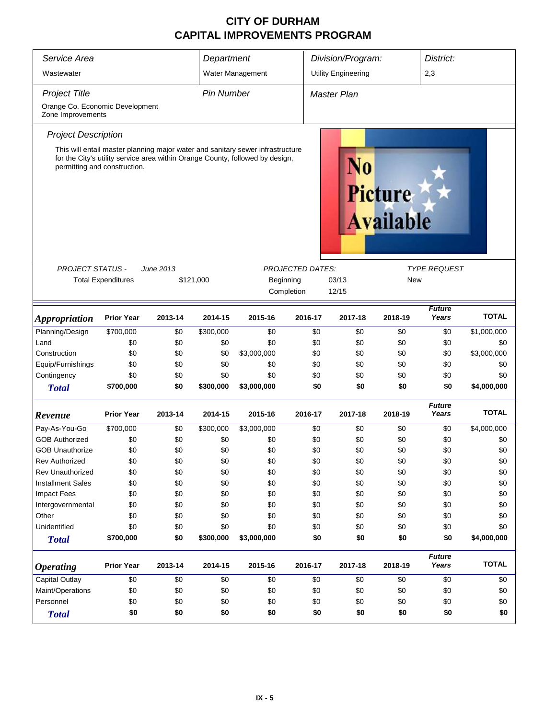| Service Area                                                                            | Department                                                                                                                                                                                      |           | Division/Program: |                  | District:  |                                    |         |                        |              |
|-----------------------------------------------------------------------------------------|-------------------------------------------------------------------------------------------------------------------------------------------------------------------------------------------------|-----------|-------------------|------------------|------------|------------------------------------|---------|------------------------|--------------|
| Wastewater                                                                              |                                                                                                                                                                                                 |           |                   | Water Management |            | <b>Utility Engineering</b>         |         | 2,3                    |              |
| <b>Project Title</b>                                                                    |                                                                                                                                                                                                 |           | <b>Pin Number</b> |                  |            | <b>Master Plan</b>                 |         |                        |              |
| Orange Co. Economic Development                                                         |                                                                                                                                                                                                 |           |                   |                  |            |                                    |         |                        |              |
| Zone Improvements                                                                       |                                                                                                                                                                                                 |           |                   |                  |            |                                    |         |                        |              |
| <b>Project Description</b>                                                              |                                                                                                                                                                                                 |           |                   |                  |            |                                    |         |                        |              |
|                                                                                         | This will entail master planning major water and sanitary sewer infrastructure<br>for the City's utility service area within Orange County, followed by design,<br>permitting and construction. |           |                   |                  | N0         | <b>Picture</b><br><b>Available</b> |         |                        |              |
| <b>PROJECT STATUS -</b>                                                                 |                                                                                                                                                                                                 | June 2013 |                   |                  |            |                                    |         | <b>TYPE REQUEST</b>    |              |
| <b>PROJECTED DATES:</b><br><b>Total Expenditures</b><br>\$121,000<br>03/13<br>Beginning |                                                                                                                                                                                                 |           |                   |                  |            | <b>New</b>                         |         |                        |              |
|                                                                                         |                                                                                                                                                                                                 |           |                   |                  | Completion | 12/15                              |         |                        |              |
|                                                                                         |                                                                                                                                                                                                 |           |                   |                  |            |                                    |         | <b>Future</b>          |              |
| <i><b>Appropriation</b></i>                                                             | <b>Prior Year</b>                                                                                                                                                                               | 2013-14   | 2014-15           | 2015-16          | 2016-17    | 2017-18                            | 2018-19 | Years                  | <b>TOTAL</b> |
| Planning/Design                                                                         | \$700,000                                                                                                                                                                                       | \$0       | \$300,000         | \$0              | \$0        | \$0                                | \$0     | \$0                    | \$1,000,000  |
| Land                                                                                    | \$0                                                                                                                                                                                             | \$0       | \$0               | \$0              | \$0        | \$0                                | \$0     | \$0                    | \$0          |
| Construction                                                                            | \$0                                                                                                                                                                                             | \$0       | \$0               | \$3,000,000      | \$0        | \$0                                | \$0     | \$0                    | \$3,000,000  |
| Equip/Furnishings                                                                       | \$0                                                                                                                                                                                             | \$0       | \$0               | \$0              | \$0        | \$0                                | \$0     | \$0                    | \$0          |
| Contingency                                                                             | \$0                                                                                                                                                                                             | \$0       | \$0               | \$0              | \$0        | \$0                                | \$0     | \$0                    | \$0          |
| <b>Total</b>                                                                            | \$700,000                                                                                                                                                                                       | \$0       | \$300,000         | \$3,000,000      | \$0        | \$0                                | \$0     | \$0                    | \$4,000,000  |
| Revenue                                                                                 | <b>Prior Year</b>                                                                                                                                                                               | 2013-14   | 2014-15           | 2015-16          | 2016-17    | 2017-18                            | 2018-19 | <b>Future</b><br>Years | <b>TOTAL</b> |
| Pay-As-You-Go                                                                           | \$700,000                                                                                                                                                                                       | \$0       | \$300,000         | \$3,000,000      | \$0        | \$0                                | \$0     | \$0                    | \$4,000,000  |
| <b>GOB Authorized</b>                                                                   | \$0                                                                                                                                                                                             | \$0       | \$0               | \$0              | \$0        | \$0                                | \$0     | \$0                    | \$0          |
| <b>GOB Unauthorize</b>                                                                  | \$0                                                                                                                                                                                             | \$0       | \$0               | \$0              | \$0        | \$0                                | \$0     | \$0                    | \$0          |
| <b>Rev Authorized</b>                                                                   | \$0                                                                                                                                                                                             | \$0       | \$0               | \$0              | \$0        | \$0                                | \$0     | \$0                    | \$0          |
| <b>Rev Unauthorized</b>                                                                 | \$0                                                                                                                                                                                             | \$0       | \$0               | \$0              | \$0        | \$0                                | \$0     | \$0                    | \$0          |
| <b>Installment Sales</b>                                                                | \$0                                                                                                                                                                                             | \$0       | \$0               | \$0              | \$0        | \$0                                | \$0     | \$0                    | \$0          |
| Impact Fees                                                                             | \$0                                                                                                                                                                                             | \$0       | \$0               | \$0              | \$0        | \$0                                | \$0     | \$0                    | \$0          |
| Intergovernmental                                                                       | \$0                                                                                                                                                                                             | \$0       | \$0               | \$0              | \$0        | \$0                                | \$0     | \$0                    | \$0          |
| Other                                                                                   | \$0                                                                                                                                                                                             | \$0       | \$0               | \$0              | \$0        | \$0                                | \$0     | \$0                    | \$0          |
| Unidentified                                                                            | \$0                                                                                                                                                                                             | \$0       | \$0               | \$0              | \$0        | \$0                                | \$0     | \$0                    | \$0          |
| <b>Total</b>                                                                            | \$700,000                                                                                                                                                                                       | \$0       | \$300,000         | \$3,000,000      | \$0        | \$0                                | \$0     | \$0                    | \$4,000,000  |
| <b>Operating</b>                                                                        | <b>Prior Year</b>                                                                                                                                                                               | 2013-14   | 2014-15           | 2015-16          | 2016-17    | 2017-18                            | 2018-19 | <b>Future</b><br>Years | <b>TOTAL</b> |
| Capital Outlay                                                                          | \$0                                                                                                                                                                                             | \$0       | \$0               | \$0              | \$0        | \$0                                | \$0     | \$0                    | \$0          |
| Maint/Operations                                                                        | \$0                                                                                                                                                                                             | \$0       | \$0               | \$0              | \$0        | \$0                                | \$0     | \$0                    | \$0          |
| Personnel<br>\$0<br>\$0<br>\$0<br>\$0                                                   |                                                                                                                                                                                                 |           |                   |                  |            | \$0                                | \$0     | \$0                    | \$0          |
| <b>Total</b>                                                                            | \$0                                                                                                                                                                                             | \$0       | \$0               | \$0              | \$0        | \$0                                | \$0     | \$0                    | \$0          |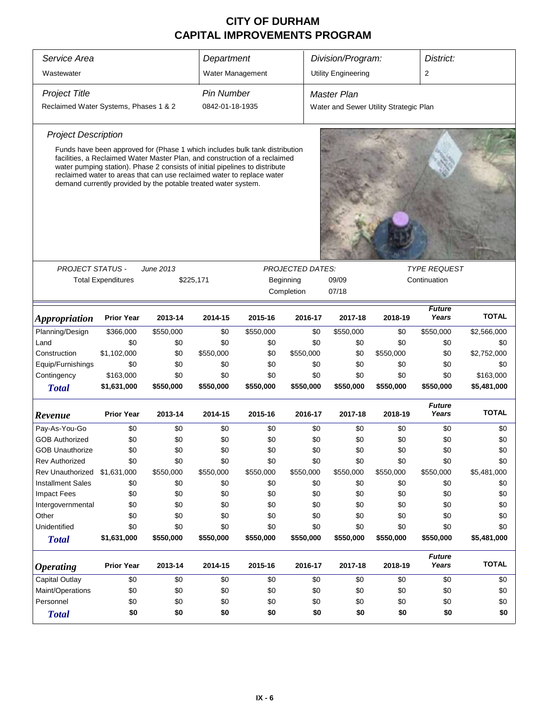| Service Area                          |                           |                                                                                                                                                                                                                                                                                                                                                                                      | Department        |           |                                                    | Division/Program:                      |              | District:              |              |  |
|---------------------------------------|---------------------------|--------------------------------------------------------------------------------------------------------------------------------------------------------------------------------------------------------------------------------------------------------------------------------------------------------------------------------------------------------------------------------------|-------------------|-----------|----------------------------------------------------|----------------------------------------|--------------|------------------------|--------------|--|
| Wastewater                            |                           |                                                                                                                                                                                                                                                                                                                                                                                      | Water Management  |           |                                                    | <b>Utility Engineering</b>             |              | 2                      |              |  |
| <b>Project Title</b>                  |                           |                                                                                                                                                                                                                                                                                                                                                                                      | <b>Pin Number</b> |           |                                                    | <b>Master Plan</b>                     |              |                        |              |  |
| Reclaimed Water Systems, Phases 1 & 2 |                           |                                                                                                                                                                                                                                                                                                                                                                                      | 0842-01-18-1935   |           |                                                    | Water and Sewer Utility Strategic Plan |              |                        |              |  |
| <b>Project Description</b>            |                           |                                                                                                                                                                                                                                                                                                                                                                                      |                   |           |                                                    |                                        |              |                        |              |  |
|                                       |                           | Funds have been approved for (Phase 1 which includes bulk tank distribution<br>facilities, a Reclaimed Water Master Plan, and construction of a reclaimed<br>water pumping station). Phase 2 consists of initial pipelines to distribute<br>reclaimed water to areas that can use reclaimed water to replace water<br>demand currently provided by the potable treated water system. |                   |           |                                                    |                                        |              |                        |              |  |
|                                       |                           |                                                                                                                                                                                                                                                                                                                                                                                      |                   |           |                                                    |                                        |              | <b>TYPE REQUEST</b>    |              |  |
| <b>PROJECT STATUS -</b>               | <b>Total Expenditures</b> | June 2013<br>\$225,171                                                                                                                                                                                                                                                                                                                                                               |                   |           | <b>PROJECTED DATES:</b><br>Beginning<br>Completion | 09/09<br>07/18                         | Continuation |                        |              |  |
| <i><b>Appropriation</b></i>           | <b>Prior Year</b>         | 2013-14                                                                                                                                                                                                                                                                                                                                                                              | 2014-15           | 2015-16   | 2016-17                                            | 2017-18                                | 2018-19      | <b>Future</b><br>Years | <b>TOTAL</b> |  |
| Planning/Design                       | \$366,000                 | \$550,000                                                                                                                                                                                                                                                                                                                                                                            | \$0               | \$550,000 | \$0                                                | \$550,000                              | \$0          | \$550,000              | \$2,566,000  |  |
| Land                                  | \$0                       | \$0                                                                                                                                                                                                                                                                                                                                                                                  | \$0               | \$0       | \$0                                                | \$0                                    | \$0          | \$0                    | \$0          |  |
| Construction                          | \$1,102,000               | \$0                                                                                                                                                                                                                                                                                                                                                                                  | \$550,000         | \$0       | \$550,000                                          | \$0                                    | \$550,000    | \$0                    | \$2,752,000  |  |
| Equip/Furnishings                     | \$0                       | \$0                                                                                                                                                                                                                                                                                                                                                                                  | \$0               | \$0       | \$0                                                | \$0                                    | \$0          | \$0                    | \$0          |  |
| Contingency                           | \$163,000                 | \$0                                                                                                                                                                                                                                                                                                                                                                                  | \$0               | \$0       | \$0                                                | \$0                                    | \$0          | \$0                    | \$163,000    |  |
| <b>Total</b>                          | \$1,631,000               | \$550,000                                                                                                                                                                                                                                                                                                                                                                            | \$550,000         | \$550,000 | \$550,000                                          | \$550,000                              | \$550,000    | \$550,000              | \$5,481,000  |  |
| Revenue                               | <b>Prior Year</b>         | 2013-14                                                                                                                                                                                                                                                                                                                                                                              | 2014-15           | 2015-16   | 2016-17                                            | 2017-18                                | 2018-19      | <b>Future</b><br>Years | <b>TOTAL</b> |  |
| Pay-As-You-Go                         | \$0                       | \$0                                                                                                                                                                                                                                                                                                                                                                                  | \$0               | \$0       | \$0                                                | \$0                                    | \$0          | \$0                    | \$0          |  |
| <b>GOB Authorized</b>                 | \$0                       | \$0                                                                                                                                                                                                                                                                                                                                                                                  | \$0               | \$0       | \$0                                                | \$0                                    | \$0          | \$0                    | \$0          |  |
| <b>GOB Unauthorize</b>                | \$0                       | \$0                                                                                                                                                                                                                                                                                                                                                                                  | \$0               | \$0       | \$0                                                | \$0                                    | \$0          | \$0                    | \$0          |  |
| <b>Rev Authorized</b>                 | \$0                       | \$0                                                                                                                                                                                                                                                                                                                                                                                  | \$0               | \$0       | \$0                                                | \$0                                    | \$0          | \$0                    | \$0          |  |
| Rev Unauthorized \$1,631,000          |                           | \$550,000                                                                                                                                                                                                                                                                                                                                                                            | \$550,000         | \$550,000 | \$550,000                                          | \$550,000                              | \$550,000    | \$550,000              | \$5,481,000  |  |
| <b>Installment Sales</b>              | \$0                       | \$0                                                                                                                                                                                                                                                                                                                                                                                  | \$0               | \$0       | \$0                                                | \$0                                    | \$0          | \$0                    | \$0          |  |
| <b>Impact Fees</b>                    | \$0                       | \$0                                                                                                                                                                                                                                                                                                                                                                                  | \$0               | \$0       | \$0                                                | \$0                                    | \$0          | \$0                    | \$0          |  |
| Intergovernmental                     | \$0                       | \$0                                                                                                                                                                                                                                                                                                                                                                                  | \$0               | \$0       | \$0                                                | \$0                                    | \$0          | \$0                    | \$0          |  |
| Other                                 | \$0                       | \$0                                                                                                                                                                                                                                                                                                                                                                                  | \$0               | \$0       | \$0                                                | \$0                                    | \$0          | \$0                    | \$0          |  |
| Unidentified                          | \$0                       | \$0                                                                                                                                                                                                                                                                                                                                                                                  | \$0               | \$0       | \$0                                                | \$0                                    | \$0          | \$0                    | \$0          |  |
| <b>Total</b>                          | \$1,631,000               | \$550,000                                                                                                                                                                                                                                                                                                                                                                            | \$550,000         | \$550,000 | \$550,000                                          | \$550,000                              | \$550,000    | \$550,000              | \$5,481,000  |  |
| <b>Operating</b>                      | <b>Prior Year</b>         | 2013-14                                                                                                                                                                                                                                                                                                                                                                              | 2014-15           | 2015-16   | 2016-17                                            | 2017-18                                | 2018-19      | <b>Future</b><br>Years | <b>TOTAL</b> |  |
| <b>Capital Outlay</b>                 | \$0                       | \$0                                                                                                                                                                                                                                                                                                                                                                                  | \$0               | \$0       | \$0                                                | \$0                                    | \$0          | \$0                    | \$0          |  |
| Maint/Operations                      | \$0                       | \$0                                                                                                                                                                                                                                                                                                                                                                                  | \$0               | \$0       | \$0                                                | \$0                                    | \$0          | \$0                    | \$0          |  |
| Personnel                             | \$0                       | \$0                                                                                                                                                                                                                                                                                                                                                                                  | \$0               | \$0       | \$0                                                | \$0                                    | \$0          | \$0                    | \$0          |  |
| <b>Total</b>                          | \$0                       | \$0                                                                                                                                                                                                                                                                                                                                                                                  | \$0               | \$0       | \$0                                                | \$0                                    | \$0          | \$0                    | \$0          |  |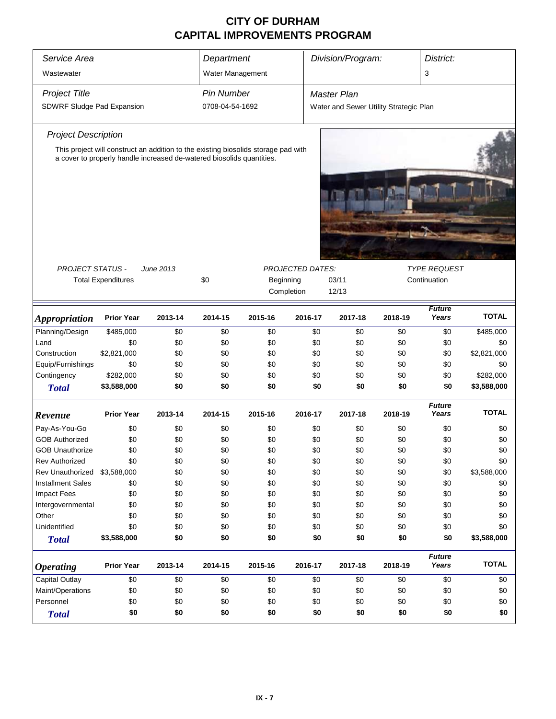| Service Area<br>Wastewater  | Department<br>Water Management                                                                                                                              |           |                   | Division/Program:                    |                                     | District:<br>3                         |         |                        |                  |  |  |
|-----------------------------|-------------------------------------------------------------------------------------------------------------------------------------------------------------|-----------|-------------------|--------------------------------------|-------------------------------------|----------------------------------------|---------|------------------------|------------------|--|--|
| <b>Project Title</b>        |                                                                                                                                                             |           | <b>Pin Number</b> |                                      |                                     | Master Plan                            |         |                        |                  |  |  |
| SDWRF Sludge Pad Expansion  |                                                                                                                                                             |           | 0708-04-54-1692   |                                      |                                     | Water and Sewer Utility Strategic Plan |         |                        |                  |  |  |
| <b>Project Description</b>  |                                                                                                                                                             |           |                   |                                      |                                     |                                        |         |                        |                  |  |  |
|                             | This project will construct an addition to the existing biosolids storage pad with<br>a cover to properly handle increased de-watered biosolids quantities. |           |                   |                                      |                                     |                                        |         |                        |                  |  |  |
|                             |                                                                                                                                                             |           |                   |                                      |                                     |                                        |         |                        |                  |  |  |
|                             |                                                                                                                                                             |           |                   |                                      |                                     |                                        |         |                        |                  |  |  |
| <b>PROJECT STATUS -</b>     | <b>Total Expenditures</b>                                                                                                                                   | June 2013 | \$0               | <b>PROJECTED DATES:</b><br>Beginning | <b>TYPE REQUEST</b><br>Continuation |                                        |         |                        |                  |  |  |
|                             |                                                                                                                                                             |           |                   |                                      | Completion                          | 03/11<br>12/13                         |         |                        |                  |  |  |
| <b>Appropriation</b>        | <b>Prior Year</b>                                                                                                                                           | 2013-14   | 2014-15           | 2015-16                              | 2016-17                             | 2017-18                                | 2018-19 | <b>Future</b><br>Years | <b>TOTAL</b>     |  |  |
| Planning/Design             | \$485,000                                                                                                                                                   | \$0       | \$0               | \$0                                  | \$0                                 | \$0                                    | \$0     | \$0                    | \$485,000        |  |  |
| Land                        | \$0                                                                                                                                                         | \$0       | \$0               | \$0                                  | \$0                                 | \$0                                    | \$0     | \$0                    | \$0              |  |  |
| Construction                | \$2,821,000                                                                                                                                                 | \$0       | \$0               | \$0                                  | \$0                                 | \$0                                    | \$0     |                        |                  |  |  |
|                             | \$0                                                                                                                                                         | \$0       | \$0               | \$0                                  | \$0                                 | \$0                                    | \$0     | \$0                    | \$2,821,000      |  |  |
| Equip/Furnishings           | \$282,000                                                                                                                                                   | \$0       | \$0               | \$0                                  | \$0                                 | \$0                                    | \$0     | \$0                    | \$0<br>\$282,000 |  |  |
| Contingency<br><b>Total</b> | \$3,588,000                                                                                                                                                 | \$0       | \$0               | \$0                                  | \$0                                 | \$0                                    | \$0     | \$0<br>\$0             | \$3,588,000      |  |  |
|                             |                                                                                                                                                             |           |                   |                                      |                                     |                                        |         | <b>Future</b>          |                  |  |  |
| Revenue                     | <b>Prior Year</b>                                                                                                                                           | 2013-14   | 2014-15           | 2015-16                              | 2016-17                             | 2017-18                                | 2018-19 | Years                  | <b>TOTAL</b>     |  |  |
| Pay-As-You-Go               | \$0                                                                                                                                                         | \$0       | \$0               | \$0                                  | \$0                                 | \$0                                    | \$0     | \$0                    | \$0              |  |  |
| <b>GOB Authorized</b>       | \$0                                                                                                                                                         | \$0       | \$0               | \$0                                  | \$0                                 | \$0                                    | \$0     | \$0                    | \$0              |  |  |
| <b>GOB Unauthorize</b>      | \$0                                                                                                                                                         | \$0       | \$0               | \$0                                  | \$0                                 | \$0                                    | \$0     | \$0                    | \$0              |  |  |
| <b>Rev Authorized</b>       | \$0                                                                                                                                                         | \$0       | \$0               | \$0                                  | \$0                                 | \$0                                    | \$0     | \$0                    | \$0              |  |  |
| Rev Unauthorized            | \$3,588,000                                                                                                                                                 | \$0       | \$0               | \$0                                  | \$0                                 | \$0                                    | \$0     | \$0                    | \$3,588,000      |  |  |
| <b>Installment Sales</b>    | \$0                                                                                                                                                         | \$0       | \$0               | \$0                                  | \$0                                 | \$0                                    | \$0     | \$0                    | \$0              |  |  |
| <b>Impact Fees</b>          | \$0                                                                                                                                                         | \$0       | \$0               | \$0                                  | \$0                                 | \$0                                    | \$0     | \$0                    | \$0              |  |  |
| Intergovernmental           | \$0                                                                                                                                                         | \$0       | \$0               | \$0                                  | \$0                                 | \$0                                    | \$0     | \$0                    | \$0              |  |  |
| Other                       | \$0                                                                                                                                                         | \$0       | \$0               | \$0                                  | \$0                                 | \$0                                    | \$0     | \$0                    | \$0              |  |  |
| Unidentified                | \$0                                                                                                                                                         | \$0       | \$0               | \$0                                  | \$0                                 | \$0                                    | \$0     | \$0                    | \$0              |  |  |
| <b>Total</b>                | \$3,588,000                                                                                                                                                 | \$0       | \$0               | \$0                                  | \$0                                 | \$0                                    | \$0     | \$0                    | \$3,588,000      |  |  |
| <b>Operating</b>            | <b>Prior Year</b>                                                                                                                                           | 2013-14   | 2014-15           | 2015-16                              | 2016-17                             | 2017-18                                | 2018-19 | <b>Future</b><br>Years | <b>TOTAL</b>     |  |  |
| Capital Outlay              | \$0                                                                                                                                                         | \$0       | \$0               | \$0                                  | \$0                                 | \$0                                    | \$0     | \$0                    | \$0              |  |  |
| Maint/Operations            | \$0                                                                                                                                                         | \$0       | \$0               | \$0                                  | \$0                                 | \$0                                    | \$0     | \$0                    | \$0              |  |  |
| Personnel                   | \$0                                                                                                                                                         | \$0       | \$0               | \$0                                  | \$0                                 | \$0                                    | \$0     | \$0                    | \$0              |  |  |
| <b>Total</b>                | \$0                                                                                                                                                         | \$0       | \$0               | \$0                                  | \$0                                 | \$0                                    | \$0     | \$0                    | \$0              |  |  |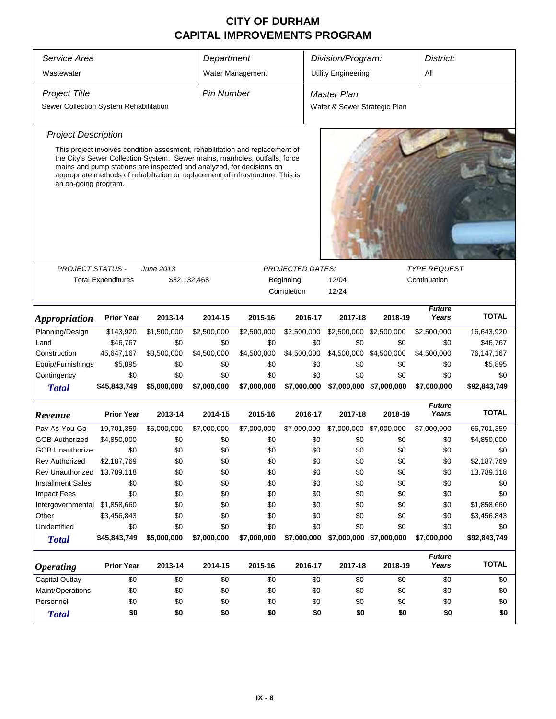| Service Area<br>Department                                                                                                                                                                                                                                                                                                                   |                           |              |                   |                  |                         | Division/Program:<br>District: |                         |                        |              |  |  |
|----------------------------------------------------------------------------------------------------------------------------------------------------------------------------------------------------------------------------------------------------------------------------------------------------------------------------------------------|---------------------------|--------------|-------------------|------------------|-------------------------|--------------------------------|-------------------------|------------------------|--------------|--|--|
| Wastewater                                                                                                                                                                                                                                                                                                                                   |                           |              |                   | Water Management |                         | <b>Utility Engineering</b>     |                         | All                    |              |  |  |
| <b>Project Title</b>                                                                                                                                                                                                                                                                                                                         |                           |              | <b>Pin Number</b> |                  |                         | <b>Master Plan</b>             |                         |                        |              |  |  |
| Sewer Collection System Rehabilitation                                                                                                                                                                                                                                                                                                       |                           |              |                   |                  |                         | Water & Sewer Strategic Plan   |                         |                        |              |  |  |
| <b>Project Description</b>                                                                                                                                                                                                                                                                                                                   |                           |              |                   |                  |                         |                                |                         |                        |              |  |  |
| This project involves condition assesment, rehabilitation and replacement of<br>the City's Sewer Collection System. Sewer mains, manholes, outfalls, force<br>mains and pump stations are inspected and analyzed, for decisions on<br>appropriate methods of rehabiltation or replacement of infrastructure. This is<br>an on-going program. |                           |              |                   |                  |                         |                                |                         |                        |              |  |  |
|                                                                                                                                                                                                                                                                                                                                              |                           |              |                   |                  |                         |                                |                         |                        |              |  |  |
| <b>PROJECT STATUS -</b>                                                                                                                                                                                                                                                                                                                      |                           | June 2013    |                   |                  | <b>PROJECTED DATES:</b> |                                |                         | <b>TYPE REQUEST</b>    |              |  |  |
|                                                                                                                                                                                                                                                                                                                                              | <b>Total Expenditures</b> | \$32,132,468 |                   |                  | Beginning               | 12/04                          | Continuation            |                        |              |  |  |
|                                                                                                                                                                                                                                                                                                                                              |                           |              |                   |                  | Completion              | 12/24                          |                         |                        |              |  |  |
| <i><b>Appropriation</b></i>                                                                                                                                                                                                                                                                                                                  | <b>Prior Year</b>         | 2013-14      | 2014-15           | 2015-16          | 2016-17                 | 2017-18                        | 2018-19                 | <b>Future</b><br>Years | <b>TOTAL</b> |  |  |
| Planning/Design                                                                                                                                                                                                                                                                                                                              | \$143,920                 | \$1,500,000  | \$2,500,000       | \$2,500,000      | \$2,500,000             | \$2,500,000 \$2,500,000        |                         | \$2,500,000            | 16,643,920   |  |  |
| Land                                                                                                                                                                                                                                                                                                                                         | \$46,767                  | \$0          | \$0               | \$0              | \$0                     | \$0                            | \$0                     | \$0                    | \$46,767     |  |  |
| Construction                                                                                                                                                                                                                                                                                                                                 | 45,647,167                | \$3,500,000  | \$4,500,000       | \$4,500,000      | \$4,500,000             | \$4,500,000 \$4,500,000        |                         | \$4,500,000            | 76, 147, 167 |  |  |
| Equip/Furnishings                                                                                                                                                                                                                                                                                                                            | \$5,895                   | \$0          | \$0               | \$0              | \$0                     | \$0                            | \$0                     | \$0                    | \$5,895      |  |  |
| Contingency                                                                                                                                                                                                                                                                                                                                  | \$0                       | \$0          | \$0               | \$0              | \$0                     | \$0                            | \$0                     | \$0                    | \$0          |  |  |
| <b>Total</b>                                                                                                                                                                                                                                                                                                                                 | \$45,843,749              | \$5,000,000  | \$7,000,000       | \$7,000,000      | \$7,000,000             |                                | \$7,000,000 \$7,000,000 | \$7,000,000            | \$92,843,749 |  |  |
| Revenue                                                                                                                                                                                                                                                                                                                                      | <b>Prior Year</b>         | 2013-14      | 2014-15           | 2015-16          | 2016-17                 | 2017-18                        | 2018-19                 | <b>Future</b><br>Years | <b>TOTAL</b> |  |  |
| Pay-As-You-Go                                                                                                                                                                                                                                                                                                                                | 19,701,359                | \$5,000,000  | \$7,000,000       | \$7,000,000      | \$7,000,000             | \$7,000,000 \$7,000,000        |                         | \$7,000,000            | 66,701,359   |  |  |
| <b>GOB Authorized</b>                                                                                                                                                                                                                                                                                                                        | \$4,850,000               | \$0          | \$0               | \$0              | \$0                     | \$0                            | \$0                     | \$0                    | \$4,850,000  |  |  |
| <b>GOB Unauthorize</b>                                                                                                                                                                                                                                                                                                                       | \$0                       | \$0          | \$0               | \$0              | \$0                     | \$0                            | \$0                     | \$0                    | \$0          |  |  |
| <b>Rev Authorized</b>                                                                                                                                                                                                                                                                                                                        | \$2,187,769               | \$0          | \$0               | \$0              | \$0                     | \$0                            | \$0                     | \$0                    | \$2,187,769  |  |  |
| Rev Unauthorized                                                                                                                                                                                                                                                                                                                             | 13,789,118                | \$0          | \$0               | \$0              | \$0                     | \$0                            | \$0                     | \$0                    | 13,789,118   |  |  |
| <b>Installment Sales</b>                                                                                                                                                                                                                                                                                                                     | \$0                       | \$0          | \$0               | \$0              | \$0                     | \$0                            | \$0                     | \$0                    | \$0          |  |  |
| <b>Impact Fees</b>                                                                                                                                                                                                                                                                                                                           | \$0                       | \$0          | \$0               | \$0              | \$0                     | \$0                            | \$0                     | \$0                    | \$0          |  |  |
| Intergovernmental \$1,858,660                                                                                                                                                                                                                                                                                                                |                           | \$0          | \$0               | \$0              | \$0                     | \$0                            | \$0                     | \$0                    | \$1,858,660  |  |  |
| Other                                                                                                                                                                                                                                                                                                                                        | \$3,456,843               | \$0          | \$0               | \$0              | \$0                     | \$0                            | \$0                     | \$0                    | \$3,456,843  |  |  |
| Unidentified                                                                                                                                                                                                                                                                                                                                 | \$0                       | \$0          | \$0               | \$0              | \$0                     | \$0                            | \$0                     | \$0                    | \$0          |  |  |
| <b>Total</b>                                                                                                                                                                                                                                                                                                                                 | \$45,843,749              | \$5,000,000  | \$7,000,000       | \$7,000,000      | \$7,000,000             |                                | \$7,000,000 \$7,000,000 | \$7,000,000            | \$92,843,749 |  |  |
| <i><b>Operating</b></i>                                                                                                                                                                                                                                                                                                                      | <b>Prior Year</b>         | 2013-14      | 2014-15           | 2015-16          | 2016-17                 | 2017-18                        | 2018-19                 | <b>Future</b><br>Years | <b>TOTAL</b> |  |  |
| Capital Outlay                                                                                                                                                                                                                                                                                                                               | \$0                       | \$0          | \$0               | \$0              | \$0                     | \$0                            | \$0                     | \$0                    | \$0          |  |  |
| Maint/Operations                                                                                                                                                                                                                                                                                                                             | \$0                       | \$0          | \$0               | \$0              | \$0                     | \$0                            | \$0                     | \$0                    | \$0          |  |  |
| Personnel                                                                                                                                                                                                                                                                                                                                    | \$0                       | \$0          | \$0               | \$0              | \$0                     | \$0                            | \$0                     | \$0                    | \$0          |  |  |
| <b>Total</b>                                                                                                                                                                                                                                                                                                                                 | \$0                       | \$0          | \$0               | \$0              | \$0                     | \$0                            | \$0                     | \$0                    | \$0          |  |  |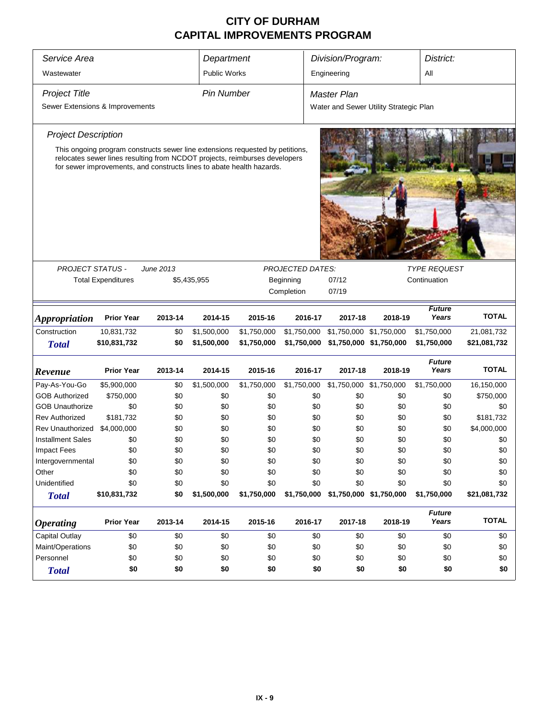| Service Area<br>Department      |                           |                                                                                                                                                                                                                                      |                    |                    |                         | Division/Program:<br>District:         |                                |                        |                     |
|---------------------------------|---------------------------|--------------------------------------------------------------------------------------------------------------------------------------------------------------------------------------------------------------------------------------|--------------------|--------------------|-------------------------|----------------------------------------|--------------------------------|------------------------|---------------------|
| Wastewater                      |                           |                                                                                                                                                                                                                                      | Public Works       |                    |                         | Engineering                            |                                | All                    |                     |
| <b>Project Title</b>            |                           |                                                                                                                                                                                                                                      | Pin Number         |                    |                         | <b>Master Plan</b>                     |                                |                        |                     |
| Sewer Extensions & Improvements |                           |                                                                                                                                                                                                                                      |                    |                    |                         | Water and Sewer Utility Strategic Plan |                                |                        |                     |
| <b>Project Description</b>      |                           |                                                                                                                                                                                                                                      |                    |                    |                         |                                        |                                |                        |                     |
|                                 |                           | This ongoing program constructs sewer line extensions requested by petitions,<br>relocates sewer lines resulting from NCDOT projects, reimburses developers<br>for sewer improvements, and constructs lines to abate health hazards. |                    |                    |                         |                                        |                                |                        |                     |
| <b>PROJECT STATUS -</b>         |                           | June 2013                                                                                                                                                                                                                            |                    |                    | <b>PROJECTED DATES:</b> |                                        |                                | <b>TYPE REQUEST</b>    |                     |
|                                 | <b>Total Expenditures</b> | \$5,435,955                                                                                                                                                                                                                          |                    |                    | Beginning               | 07/12                                  |                                | Continuation           |                     |
|                                 |                           |                                                                                                                                                                                                                                      |                    |                    | Completion              | 07/19                                  |                                |                        |                     |
|                                 |                           |                                                                                                                                                                                                                                      |                    |                    |                         |                                        |                                | <b>Future</b>          |                     |
| <b>Appropriation</b>            | <b>Prior Year</b>         | 2013-14                                                                                                                                                                                                                              | 2014-15            | 2015-16            | 2016-17                 | 2017-18                                | 2018-19                        | Years                  | <b>TOTAL</b>        |
| Construction                    | 10,831,732                | \$0                                                                                                                                                                                                                                  | \$1,500,000        | \$1,750,000        | \$1,750,000             |                                        | \$1,750,000 \$1,750,000        | \$1,750,000            | 21,081,732          |
| <b>Total</b>                    | \$10,831,732              | \$0                                                                                                                                                                                                                                  | \$1,500,000        | \$1,750,000        | \$1,750,000             |                                        | \$1,750,000 \$1,750,000        | \$1,750,000            | \$21,081,732        |
| Revenue                         | <b>Prior Year</b>         | 2013-14                                                                                                                                                                                                                              | 2014-15            | 2015-16            | 2016-17                 | 2017-18                                | 2018-19                        | <b>Future</b><br>Years | <b>TOTAL</b>        |
| Pay-As-You-Go                   | \$5,900,000               | \$0                                                                                                                                                                                                                                  | \$1,500,000        | \$1,750,000        | \$1,750,000             |                                        | \$1,750,000 \$1,750,000        | \$1,750,000            | 16,150,000          |
| <b>GOB Authorized</b>           | \$750,000                 | \$0                                                                                                                                                                                                                                  | \$0                | \$0                | \$0                     | \$0                                    | \$0                            | \$0                    | \$750,000           |
| <b>GOB Unauthorize</b>          | \$0                       | \$0                                                                                                                                                                                                                                  | \$0                | \$0                | \$0                     | \$0                                    | \$0                            | \$0                    | \$0                 |
| <b>Rev Authorized</b>           | \$181,732                 | \$0                                                                                                                                                                                                                                  | \$0                | \$0                | \$0                     | \$0                                    | \$0                            | \$0                    | \$181,732           |
| Rev Unauthorized                | \$4,000,000               | \$0                                                                                                                                                                                                                                  | \$0                | \$0                | \$0                     | \$0                                    | \$0                            | \$0                    | \$4,000,000         |
| <b>Installment Sales</b>        | \$0                       | \$0                                                                                                                                                                                                                                  | \$0                | \$0                | \$0                     | \$0                                    | \$0                            | \$0                    | \$0                 |
| Impact Fees                     | \$0                       | \$0                                                                                                                                                                                                                                  | \$0                | \$0                |                         | \$0<br>\$0                             | \$0                            | \$0                    | \$0                 |
| Intergovernmental               | \$0                       | \$0                                                                                                                                                                                                                                  | \$0                | \$0                | \$0                     | \$0                                    | \$0                            | \$0                    | \$0                 |
| Other                           | \$0                       | \$0                                                                                                                                                                                                                                  | \$0                | \$0                | \$0                     | \$0                                    | \$0                            | \$0                    | \$0                 |
| Unidentified                    | \$0<br>\$10,831,732       | \$0<br>\$0                                                                                                                                                                                                                           | \$0<br>\$1,500,000 | \$0<br>\$1,750,000 | \$0<br>\$1,750,000      | \$0                                    | \$0<br>\$1,750,000 \$1,750,000 | \$0<br>\$1,750,000     | \$0<br>\$21,081,732 |
| <b>Total</b>                    |                           |                                                                                                                                                                                                                                      |                    |                    |                         |                                        |                                |                        |                     |
| <b>Operating</b>                | <b>Prior Year</b>         | 2013-14                                                                                                                                                                                                                              | 2014-15            | 2015-16            | 2016-17                 | 2017-18                                | 2018-19                        | <b>Future</b><br>Years | <b>TOTAL</b>        |
| <b>Capital Outlay</b>           | \$0                       | \$0                                                                                                                                                                                                                                  | \$0                | \$0                | \$0                     | \$0                                    | \$0                            | \$0                    | \$0                 |
| Maint/Operations                | \$0                       | \$0                                                                                                                                                                                                                                  | \$0                | \$0                | \$0                     | \$0                                    | \$0                            | \$0                    | \$0                 |
| Personnel                       | \$0                       | \$0                                                                                                                                                                                                                                  | \$0                | \$0                | \$0                     | \$0                                    | \$0                            | \$0                    | \$0                 |
| <b>Total</b>                    | \$0                       | \$0                                                                                                                                                                                                                                  | \$0                | \$0                |                         | \$0<br>\$0                             | \$0                            | \$0                    | \$0                 |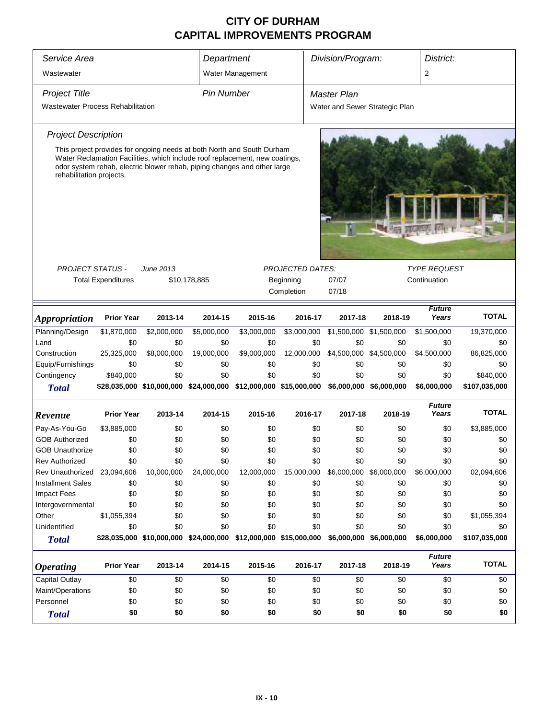| Service Area                             |                           |             | Department        |                                                                                                                                                                                                                                   | Division/Program:       |                                | District:               |                        |               |
|------------------------------------------|---------------------------|-------------|-------------------|-----------------------------------------------------------------------------------------------------------------------------------------------------------------------------------------------------------------------------------|-------------------------|--------------------------------|-------------------------|------------------------|---------------|
|                                          |                           |             |                   |                                                                                                                                                                                                                                   |                         |                                |                         |                        |               |
| Wastewater                               |                           |             |                   | Water Management                                                                                                                                                                                                                  |                         |                                |                         | 2                      |               |
| <b>Project Title</b>                     |                           |             | <b>Pin Number</b> |                                                                                                                                                                                                                                   |                         | <b>Master Plan</b>             |                         |                        |               |
| <b>Wastewater Process Rehabilitation</b> |                           |             |                   |                                                                                                                                                                                                                                   |                         | Water and Sewer Strategic Plan |                         |                        |               |
|                                          |                           |             |                   |                                                                                                                                                                                                                                   |                         |                                |                         |                        |               |
| <b>Project Description</b>               |                           |             |                   |                                                                                                                                                                                                                                   |                         |                                |                         |                        |               |
| rehabilitation projects.                 |                           |             |                   | This project provides for ongoing needs at both North and South Durham<br>Water Reclamation Facilities, which include roof replacement, new coatings,<br>odor system rehab, electric blower rehab, piping changes and other large |                         |                                |                         |                        |               |
|                                          |                           |             |                   |                                                                                                                                                                                                                                   |                         |                                |                         |                        |               |
|                                          |                           |             |                   |                                                                                                                                                                                                                                   |                         |                                |                         |                        |               |
|                                          |                           |             |                   |                                                                                                                                                                                                                                   |                         |                                |                         |                        |               |
| <b>PROJECT STATUS -</b>                  |                           | June 2013   |                   |                                                                                                                                                                                                                                   | <b>PROJECTED DATES:</b> |                                |                         | <b>TYPE REQUEST</b>    |               |
|                                          | <b>Total Expenditures</b> |             | \$10,178,885      |                                                                                                                                                                                                                                   | Beginning               | 07/07                          |                         | Continuation           |               |
|                                          |                           |             |                   |                                                                                                                                                                                                                                   | Completion              | 07/18                          |                         |                        |               |
|                                          |                           |             |                   |                                                                                                                                                                                                                                   |                         |                                |                         |                        |               |
| <i><b>Appropriation</b></i>              | <b>Prior Year</b>         | 2013-14     | 2014-15           | 2015-16                                                                                                                                                                                                                           | 2016-17                 | 2017-18                        | 2018-19                 | <b>Future</b><br>Years | <b>TOTAL</b>  |
| Planning/Design                          | \$1,870,000               | \$2,000,000 | \$5,000,000       | \$3,000,000                                                                                                                                                                                                                       | \$3,000,000             | \$1,500,000 \$1,500,000        |                         | \$1,500,000            | 19,370,000    |
| Land                                     | \$0                       | \$0         | \$0               | \$0                                                                                                                                                                                                                               | \$0                     | \$0                            | \$0                     | \$0                    | \$0           |
| Construction                             | 25,325,000                | \$8,000,000 | 19,000,000        | \$9,000,000                                                                                                                                                                                                                       | 12,000,000              |                                | \$4,500,000 \$4,500,000 | \$4,500,000            | 86,825,000    |
| Equip/Furnishings                        | \$0                       | \$0         | \$0               | \$0                                                                                                                                                                                                                               | \$0                     | \$0                            | \$0                     | \$0                    | \$0           |
| Contingency                              | \$840,000                 | \$0         | \$0               | \$0                                                                                                                                                                                                                               | \$0                     | \$0                            | \$0                     | \$0                    | \$840,000     |
| <b>Total</b>                             |                           |             |                   | \$28,035,000 \$10,000,000 \$24,000,000 \$12,000,000 \$15,000,000                                                                                                                                                                  |                         |                                | \$6,000,000 \$6,000,000 | \$6,000,000            | \$107,035,000 |
|                                          |                           |             |                   |                                                                                                                                                                                                                                   |                         |                                |                         | <b>Future</b>          |               |
| Revenue                                  | <b>Prior Year</b>         | 2013-14     | 2014-15           | 2015-16                                                                                                                                                                                                                           | 2016-17                 | 2017-18                        | 2018-19                 | Years                  | <b>TOTAL</b>  |
| Pay-As-You-Go                            | \$3,885,000               | \$0         | \$0               | \$0                                                                                                                                                                                                                               | \$0                     | \$0                            | \$0                     | \$0                    | \$3,885,000   |
| <b>GOB Authorized</b>                    | \$0                       | \$0         | \$0               | \$0                                                                                                                                                                                                                               | \$0                     | \$0                            | \$0                     | \$0                    | \$0           |
| <b>GOB Unauthorize</b>                   | \$0                       | \$0         | \$0               | \$0                                                                                                                                                                                                                               | \$0                     | \$0                            | \$0                     | \$0                    | \$0           |
| <b>Rev Authorized</b>                    | \$0                       | \$0         | \$0               | \$0                                                                                                                                                                                                                               | \$0                     | \$0                            | \$0                     | \$0                    | \$0           |
| Rev Unauthorized 23,094,606              |                           | 10,000,000  | 24,000,000        | 12,000,000                                                                                                                                                                                                                        | 15,000,000              | \$6,000,000 \$6,000,000        |                         | \$6,000,000            | 02,094,606    |
| <b>Installment Sales</b>                 | \$0                       | \$0         | \$0               | \$0                                                                                                                                                                                                                               | \$0                     | \$0                            | \$0                     | \$0                    | \$0           |
| <b>Impact Fees</b>                       | \$0                       | \$0         | \$0               | \$0                                                                                                                                                                                                                               | \$0                     | \$0                            | \$0                     | \$0                    | \$0           |
| Intergovernmental                        | \$0                       | \$0         | \$0               | \$0                                                                                                                                                                                                                               | \$0                     | \$0                            | \$0                     | \$0                    | \$0           |
| Other                                    | \$1,055,394               | \$0         | \$0               | \$0                                                                                                                                                                                                                               | \$0                     | \$0                            | \$0                     | \$0                    | \$1,055,394   |
| Unidentified                             | \$0                       | \$0         | \$0               | \$0                                                                                                                                                                                                                               | \$0                     | \$0                            | \$0                     | \$0                    | \$0           |
| <b>Total</b>                             |                           |             |                   | \$28,035,000 \$10,000,000 \$24,000,000 \$12,000,000 \$15,000,000                                                                                                                                                                  |                         |                                | \$6,000,000 \$6,000,000 | \$6,000,000            | \$107,035,000 |
| <i><b>Operating</b></i>                  | <b>Prior Year</b>         | 2013-14     | 2014-15           | 2015-16                                                                                                                                                                                                                           | 2016-17                 | 2017-18                        | 2018-19                 | <b>Future</b><br>Years | <b>TOTAL</b>  |
| Capital Outlay                           | \$0                       | \$0         | \$0               | \$0                                                                                                                                                                                                                               | \$0                     | \$0                            | \$0                     | \$0                    | \$0           |
| Maint/Operations                         | \$0                       | \$0         | \$0               | \$0                                                                                                                                                                                                                               | \$0                     | \$0                            | \$0                     | \$0                    | \$0           |
| Personnel                                | \$0                       | \$0         | \$0               | \$0                                                                                                                                                                                                                               | \$0                     | \$0                            | \$0                     | \$0                    | \$0           |
| <b>Total</b>                             | \$0                       | \$0         | \$0               | \$0                                                                                                                                                                                                                               | \$0                     | \$0                            | \$0                     | \$0                    | \$0           |
|                                          |                           |             |                   |                                                                                                                                                                                                                                   |                         |                                |                         |                        |               |